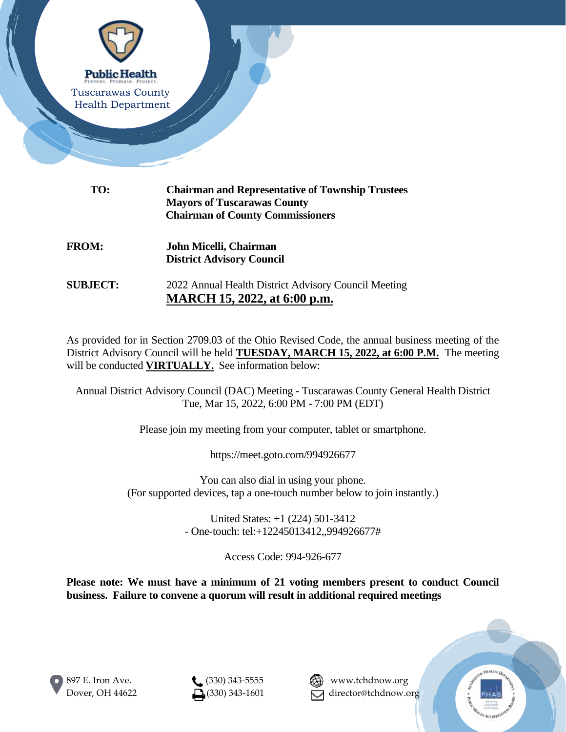

| TO:             | <b>Chairman and Representative of Township Trustees</b><br><b>Mayors of Tuscarawas County</b><br><b>Chairman of County Commissioners</b> |
|-----------------|------------------------------------------------------------------------------------------------------------------------------------------|
| <b>FROM:</b>    | John Micelli, Chairman<br><b>District Advisory Council</b>                                                                               |
| <b>SUBJECT:</b> | 2022 Annual Health District Advisory Council Meeting<br>MARCH 15, 2022, at 6:00 p.m.                                                     |

As provided for in Section 2709.03 of the Ohio Revised Code, the annual business meeting of the District Advisory Council will be held **TUESDAY, MARCH 15, 2022, at 6:00 P.M.** The meeting will be conducted **VIRTUALLY**. See information below:

Annual District Advisory Council (DAC) Meeting - Tuscarawas County General Health District Tue, Mar 15, 2022, 6:00 PM - 7:00 PM (EDT)

Please join my meeting from your computer, tablet or smartphone.

https://meet.goto.com/994926677

You can also dial in using your phone. (For supported devices, tap a one-touch number below to join instantly.)

> United States: +1 (224) 501-3412 - One-touch: tel:+12245013412,,994926677#

> > Access Code: 994-926-677

**Please note: We must have a minimum of 21 voting members present to conduct Council business. Failure to convene a quorum will result in additional required meetings**





Dover, OH 44622  $\Box$ (330) 343-1601  $\Box$  director@tchdnow.org